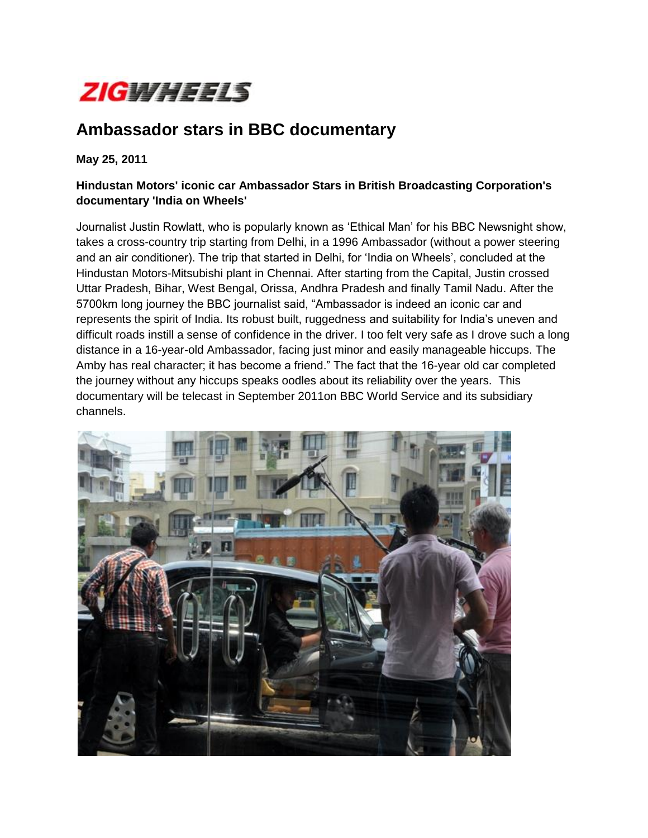

## **Ambassador stars in BBC documentary**

**May 25, 2011**

## **Hindustan Motors' iconic car Ambassador Stars in British Broadcasting Corporation's documentary 'India on Wheels'**

Journalist Justin Rowlatt, who is popularly known as "Ethical Man" for his BBC Newsnight show, takes a cross-country trip starting from Delhi, in a 1996 Ambassador (without a power steering and an air conditioner). The trip that started in Delhi, for "India on Wheels", concluded at the Hindustan Motors-Mitsubishi plant in Chennai. After starting from the Capital, Justin crossed Uttar Pradesh, Bihar, West Bengal, Orissa, Andhra Pradesh and finally Tamil Nadu. After the 5700km long journey the BBC journalist said, "Ambassador is indeed an iconic car and represents the spirit of India. Its robust built, ruggedness and suitability for India"s uneven and difficult roads instill a sense of confidence in the driver. I too felt very safe as I drove such a long distance in a 16-year-old Ambassador, facing just minor and easily manageable hiccups. The Amby has real character; it has become a friend." The fact that the 16-year old car completed the journey without any hiccups speaks oodles about its reliability over the years. This documentary will be telecast in September 2011on BBC World Service and its subsidiary channels.